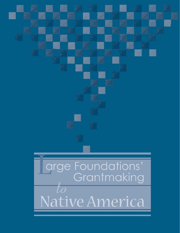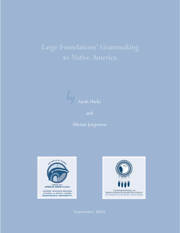## Large Foundations' Grantmaking

*by* Sarah Hicks

and

Miriam Jorgensen



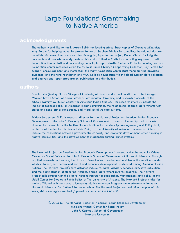## Large Foundations' Grantmaking to Native America

The authors would like to thank: Aaron Belkin for locating critical back copies of *Grants to Minorities*; Amy Besaw for helping move this project forward; Stephen Brimley for compiling the original dataset on which this research expands and for his ongoing input to the project; Donna Chavis for insightful comments and analysis on early parts of this work; Catherine Curtis for conducting key research with Foundation Center staff and commenting on multiple report drafts; Kimberly Parks for locating various Foundation Center resources within the St. Louis Public Library's Cooperating Collection; Joy Persall for support, encouragement, and momentum; the many Foundation Center staff members who provided guidance; and the Ford Foundation and W.K. Kellogg Foundation, which helped support data collection and analysis and report preparation, publication, and distribution.

Sarah Hicks (Alutiiq, Native Village of Ouzinkie, Alaska) is a doctoral candidate at the George Warren Brown School of Social Work at Washington University, and research associate at the school's Kathryn M. Buder Center for American Indian Studies. Her research interests include the impact of federal policy on American Indian communities, the relationship of tribal governments with states and nonprofit organizations, and tribal social welfare systems.

Miriam Jorgensen, Ph.D., is research director for the Harvard Project on American Indian Economic Development at the John F. Kennedy School of Government at Harvard University and associate director for research for the Native Nations Institute for Leadership, Management, and Policy (NNI) at the Udall Center for Studies in Public Policy at The University of Arizona. Her research interests include the connections between governmental capacity and economic development, asset building in Native communities, and the development of indigenous criminal justice systems.

The Harvard Project on American Indian Economic Development is housed within the Malcolm Wiener Center for Social Policy at the John F. Kennedy School of Government at Harvard University. Through applied research and service, the Harvard Project aims to understand and foster the conditions under which sustained, self-determined social and economic development is achieved among American Indian nations. The Harvard Project's core activities include research, advisory services, executive education, and the administration of Honoring Nations, a tribal government awards program. The Harvard Project collaborates with the Native Nations Institute for Leadership, Management, and Policy at the Udall Center for Studies in Public Policy at The University of Arizona. The Harvard Project is also formally affiliated with the Harvard University Native American Program, an interfaculty initiative at Harvard University. For further information about The Harvard Project and additional copies of this work, visit www.ksg.harvard.edu/hpaied or contact 617-495-1480.

> © 2005 by The Harvard Project on American Indian Economic Development Malcolm Wiener Center for Social Policy John F. Kennedy School of Government Harvard University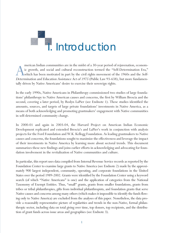

merican Indian communities are in the midst of a 30-year period of rejuvenation, economic growth, and social and cultural reconstruction termed the "Self-Determination Era," which has been motivated in part by the civil ri merican Indian communities are in the midst of a 30-year period of rejuvenation, economic growth, and social and cultural reconstruction termed the "Self-Determination Era," which has been motivated in part by the civil rights movement of the 1960s and the *Self*tally driven by Native Americans' desire to exercise their sovereign rights.

In the early 1990s, Native Americans in Philanthropy commissioned two studies of large foundations' philanthropy to Native American causes and concerns, the first by William Brescia and the second, covering a later period, by Roslyn LaPier (see Endnote 1). These studies identified the amounts, sources, and targets of large private foundations' investments in Native America, as a means of both acknowledging and promoting grantmakers' engagement with Native communities in self-determined community change.

In 2000-01 and again in 2003-04, the Harvard Project on American Indian Economic Development replicated and extended Brescia's and LaPier's work in conjunction with analysis projects for the Ford Foundation and W.K. Kellogg Foundation. As leading grantmakers to Native causes and concerns, the foundations sought to maximize the effectiveness and leverage the impact of their investments in Native America by learning more about sectoral trends. This document summarizes these new findings and joins earlier efforts in acknowledging and advocating for foundation involvement in the revitalization of Native communities and culture.

In particular, this report uses data compiled from Internal Revenue Service records as reported by the Foundation Center to examine large grants to Native America (see Endnote 2) made by the approximately 900 largest independent, community, operating, and corporate foundations in the United States over the period 1989-2002. Grants were identified by the Foundation Center using a keyword search (of which "Native Americans" is one) and the application of categories from the National Taxonomy of Exempt Entities. Thus, "small" grants, grants from smaller foundations, grants from tribes or tribal philanthropies, gifts from individual philanthropists, and foundation grants that serve Native causes and concerns among many others (which makes it impossible to identify the funds flowing only to Native America) are excluded from the analyses of this paper. Nonetheless, the data provide a reasonably representative picture of regularities and trends in the non-Native, formal philanthropic sector, including data on total giving over time, top donors, top recipients, and the distribution of grant funds across issue areas and geographies (see Endnote 3).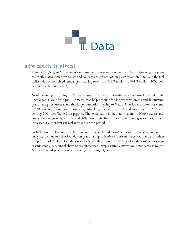

#### how much is given?

Foundation giving to Native American causes and concerns is on the rise. The number of grants given to strictly Native American causes and concerns rose from 301 in 1989 to 504 in 2002, and the real dollar value of combined annual grantmaking rose from \$32.9 million to \$91.9 million (2002 dollars; see Table 1 on page 3).

Nonetheless, grantmaking to Native causes and concerns constitutes a very small and relatively unchanged share of the pie. Estimates that help account for longer-term grants and fluctuating grantmaking resources show that large foundations' giving to Native America accounted for some 0.270 percent of foundations' overall grantmaking resources in 1990 and rose to only 0.279 percent by 2001 (see Table 2 on page 4). The explanation is that grantmaking to Native causes and concerns was growing at only a slightly faster rate than overall grantmaking resources, which increased 153 percent (in real terms) over the period.

Notably, even if it were possible to include smaller foundations' activity and smaller grants in the analysis, it is unlikely that foundation grantmaking to Native American issues totals any more than 0.5 percent of the U.S. foundation sector's overall resources. The larger foundations' activity represents such a substantial share of resources that unrepresented activity could not easily drive the Native-directed proportion of overall grantmaking higher.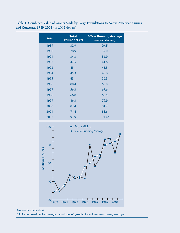Table 1. Combined Value of Grants Made by Large Foundations to Native American Causes and Concerns, 1989-2002 (in 2002 dollars)

| <b>Year</b> | <b>Total</b><br>(million dollars) | <b>3-Year Running Average</b><br>(million dollars) |
|-------------|-----------------------------------|----------------------------------------------------|
| 1989        | 32.9                              | $29.3*$                                            |
| 1990        | 28.9                              | 32.0                                               |
| 1991        | 34.3                              | 36.9                                               |
| 1992        | 47.5                              | 41.6                                               |
| 1993        | 43.1                              | 45.3                                               |
| 1994        | 45.3                              | 43.8                                               |
| 1995        | 43.1                              | 56.3                                               |
| 1996        | 80.4                              | 60.0                                               |
| 1997        | 56.3                              | 67.6                                               |
| 1998        | 66.0                              | 69.5                                               |
| 1999        | 86.3                              | 79.9                                               |
| 2000        | 87.4                              | 81.7                                               |
| 2001        | 71.4                              | 83.6                                               |
| 2002        | 91.9                              | 91.4*                                              |



**Source:** See Endnote 4.

\* Estimate based on the average annual rate of growth of the three-year running average.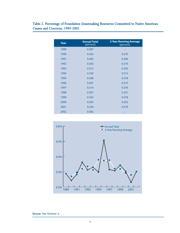| Year | <b>Annual Total</b><br>(percent) | <b>3-Year Running Average</b><br>(percent) |
|------|----------------------------------|--------------------------------------------|
| 1989 | 0.287                            | $\cdots$                                   |
| 1990 | 0.242                            | 0.270                                      |
| 1991 | 0.282                            | 0.296                                      |
| 1992 | 0.363                            | 0.319                                      |
| 1993 | 0.312                            | 0.335                                      |
| 1994 | 0.330                            | 0.313                                      |
| 1995 | 0.298                            | 0.378                                      |
| 1996 | 0.507                            | 0.373                                      |
| 1997 | 0.314                            | 0.376                                      |
| 1998 | 0.307                            | 0.321                                      |
| 1999 | 0.343                            | 0.318                                      |
| 2000 | 0.303                            | 0.292                                      |
| 2001 | 0.230                            | 0.279                                      |
| 2002 | 0.302                            | $\cdots$                                   |

Table 2. Percentage of Foundation Grantmaking Resources Committed to Native American Causes and Concerns, 1989-2002

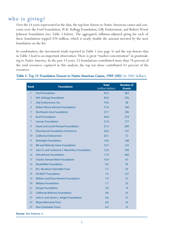## who is giving?

Over the 14 years represented in the data, the top four donors to Native American causes and concerns were the Ford Foundation, W.K. Kellogg Foundation, Lilly Endowment, and Robert Wood Johnson Foundation (see Table 3 below). The aggregated, inflation-adjusted giving for each of these foundations topped \$70 million, which is nearly double the amount invested by the next foundation on the list.

In combination, the investment totals reported in Table 1 (see page 3) and the top donors data in Table 3 lead to an important observation: There is great "market concentration" in grantmaking to Native America. In the past 14 years, 25 foundations contributed more than 78 percent of the total resources captured in this analysis; the top ten alone contributed 61 percent of the resources.

| <b>Rank</b>    | <b>Foundation</b>                             | <b>Total</b><br>(million dollars) | <b>Number of</b><br><b>Grants</b> |
|----------------|-----------------------------------------------|-----------------------------------|-----------------------------------|
| $\mathbf{1}$   | <b>Ford Foundation</b>                        | 92.3                              | 363                               |
| $\overline{2}$ | W.K. Kellogg Foundation                       | 82.0                              | 276                               |
| $\overline{3}$ | Lilly Endowment, Inc.                         | 74.0                              | 38                                |
| $\overline{4}$ | <b>Robert Wood Johnson Foundation</b>         | 71.6                              | 160                               |
| 5              | Northwest Area Foundation                     | 37.7                              | 106                               |
| 6              | <b>Bush Foundation</b>                        | 36.8                              | 319                               |
| $\overline{7}$ | <b>Lannan Foundation</b>                      | 31.9                              | 177                               |
| 8              | David and Lucile Packard Foundation           | 27.3                              | 209                               |
| 9              | <b>Educational Foundation of America</b>      | 26.6                              | 157                               |
| 10             | California Endowment                          | 20.1                              | 72                                |
| 11             | <b>McKnight Foundation</b>                    | 19.6                              | 168                               |
| 12             | <b>Bill and Melinda Gates Foundation</b>      | 16.7                              | 122                               |
| 13             | John D. and Catherine T. MacArthur Foundation | 15.9                              | 109                               |
| 14             | <b>Otto Bremer Foundation</b>                 | 11.9                              | 400                               |
| 15             | <b>Charles Stewart Mott Foundation</b>        | 10.0                              | 67                                |
| 16             | <b>Rockefeller Foundation</b>                 | 9.3                               | 95                                |
| 17             | M.J. Murdock Charitable Trust                 | 7.7                               | 32                                |
| 18             | <b>US WEST Foundation</b>                     | 7.5                               | 157                               |
| 19             | <b>William and Flora Hewlett Foundation</b>   | 7.4                               | 37                                |
| 20             | <b>Wallace Foundation</b>                     | 7.1                               | 23                                |
| 21             | <b>Kresge Foundation</b>                      | 5.6                               | 13                                |
| 22             | <b>California Wellness Foundation</b>         | 4.8                               | 23                                |
| 23             | John S. and James L. Knight Foundation        | 4.6                               | 31                                |
| 24             | <b>Meyer Memorial Trust</b>                   | 4.6                               | 25                                |
| 25             | <b>Pew Charitable Trusts</b>                  | 4.5                               | 16                                |

#### Table 3. Top 25 Foundation Donors to Native American Causes, 1989-2002 (in 2002 dollars)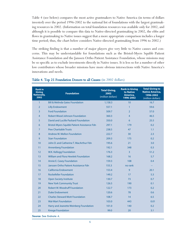Table 4 (see below) compares the most active grantmakers to Native America (in terms of dollars invested) over the period 1996-2002 to the national list of foundations with the largest grantmaking resources in 2002. (Information on total foundation resources was available only for 2002, and although it is possible to compare this data to Native-directed grantmaking in 2002, the ebbs and flows in grantmaking to Native issues suggest that a more appropriate comparison includes a longer time period; thus, the chart below considers Native-directed grantmaking from 1996 to 2002.)

The striking finding is that a number of major players give very little to Native causes and concerns. This may be understandable for foundations such as the Bristol-Myers Squibb Patient Assistance Foundation and the Janssen Ortho Patient Assistance Foundation, whose missions may be so specific as to exclude investments directly in Native issues. It is less so for a number of other low contributors whose broader missions have more obvious intersections with Native America's innovations and needs.

| <b>Rank in</b><br><b>Giving</b><br><b>Nationally,</b><br>2002 | <b>Foundation</b>                           | <b>Total Giving,</b><br>2002<br>(million dollars) | <b>Rank in Giving</b><br>to Native<br>America,<br>1996-2002 | <b>Total Giving to</b><br><b>Native America,</b><br>1996-2002<br>(million dollars) |
|---------------------------------------------------------------|---------------------------------------------|---------------------------------------------------|-------------------------------------------------------------|------------------------------------------------------------------------------------|
| $\mathbf{1}$                                                  | <b>Bill &amp; Melinda Gates Foundation</b>  | 1,158.3                                           | 10                                                          | 16.7                                                                               |
| $\overline{2}$                                                | <b>Lilly Endowment</b>                      | 557.1                                             | $\mathbf{1}$                                                | 59.6                                                                               |
| $\overline{3}$                                                | <b>Ford Foundation</b>                      | 509.7                                             | $\overline{2}$                                              | 57.0                                                                               |
| $\overline{4}$                                                | <b>Robert Wood Johnson Foundation</b>       | 360.3                                             | $\overline{4}$                                              | 46.5                                                                               |
| 5                                                             | David and Lucille Packard Foundation        | 350.0                                             | 6                                                           | 25.5                                                                               |
| 6                                                             | Bristol-Myers Squibb Patient Asisstance Fdn | 297.1                                             | 179                                                         | 0.2                                                                                |
| $\overline{7}$                                                | <b>Pew Charitable Trusts</b>                | 238.5                                             | 47                                                          | 1.1                                                                                |
| 8                                                             | Andrew W. Mellon Foundation                 | 222.7                                             | 30                                                          | 2.3                                                                                |
| 9                                                             | <b>Starr Foundation</b>                     | 209.3                                             | 175                                                         | 0.2                                                                                |
| 10                                                            | John D. and Catherine T. MacArthur Fdn      | 195.6                                             | 21                                                          | 3.0                                                                                |
| 11                                                            | <b>Annenberg Foundation</b>                 | 192.1                                             | 348                                                         | 0.3                                                                                |
| 12                                                            | W.K. Kellogg Foundation                     | 176.3                                             | $\overline{3}$                                              | 51.2                                                                               |
| 13                                                            | <b>William and Flora Hewlett Foundation</b> | 168.2                                             | 16                                                          | 5.7                                                                                |
| 14                                                            | Annie E. Casey Foundation                   | 159.3                                             | 108                                                         | 0.4                                                                                |
| 15                                                            | Janssen Ortho Patient Assistance Fdn        | 155.3                                             | no rank                                                     |                                                                                    |
| 16                                                            | California Endowment                        | 153.4                                             | 9                                                           | 20.1                                                                               |
| 17                                                            | <b>Rockefeller Foundation</b>               | 149.2                                             | 17                                                          | 5.3                                                                                |
| 18                                                            | <b>Open Society Institute</b>               | 130.7                                             | 73                                                          | 0.7                                                                                |
| 19                                                            | <b>New York Community Trust</b>             | 126.5                                             | 190                                                         | 0.1                                                                                |
| 20                                                            | <b>Robert W. Woodruff Foundation</b>        | 122.7                                             | 173                                                         | 0.2                                                                                |
| 21                                                            | <b>Duke Endowment</b>                       | 120.6                                             | 78                                                          | 0.6                                                                                |
| 22                                                            | <b>Charles Steward Mott Foundation</b>      | 108.7                                             | 14                                                          | 6.5                                                                                |
| 23                                                            | <b>Wal-Mart Foundation</b>                  | 103.0                                             | 443                                                         | 0.01                                                                               |
| 24                                                            | Harry and Jeanette Weinberg Foundation      | 101.0                                             | 140                                                         | 0.2                                                                                |
| 25                                                            | <b>Kresge Foundation</b>                    | 99.0                                              | 20                                                          | 3.1                                                                                |
|                                                               |                                             |                                                   |                                                             |                                                                                    |

#### Table 4. Top 25 Foundation Donors to all Causes (in 2002 dollars)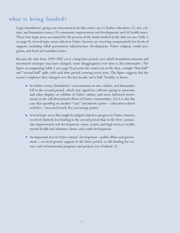#### what is being funded?

Large foundations' giving was concentrated (in this order) on (1) Indian education; (2) arts, culture, and humanities issues; (3) community improvement and development; and (4) health issues. These four topic areas accounted for 60 percent of the funds tracked in the data set (see Table 5 on page 8). Several topic areas critical to Native America are receiving comparatively low levels of support, including tribal government infrastructure development, Native religion, youth programs, and food and nutrition issues.

Because the data from 1989-2002 cover a long time period, over which foundation interests and investment strategies may have changed, some disaggregation over time is also informative. The figure accompanying Table 5 (see page 9) presents the easiest cut on the data, a simple "first-half" and "second-half" split, with each time period covering seven years. The figure suggests that the sector's emphases have changed over the last decade and a half. Notably, it shows:

- In relative terms, foundations' concentration on arts, culture, and humanities fell in the second period, which may signal less reflexive giving to museums and other displays or exhibits of Native culture, and more informed investments in the self-determined efforts of Native communities. Yet it is also the case that spending on another "easy" investment option – education-related activities – increased nearly five percentage points.
- Several topic areas that might be judged critical to progress in Native America received relatively less funding in the second period than in the first: community improvement and development; crime, courts, and legal services; health; mental health and substance abuse; and youth development.
- An important area in Native nations' development public affairs and government – received greater support in the latter period, as did funding for science and environmental programs and projects (see Endnote 5).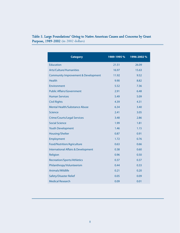#### Table 5. Large Foundations' Giving to Native American Causes and Concerns by Grant Purpose, 1989-2002 (in 2002 dollars)

| <b>Category</b>                                | 1989-1995 % | 1996-2002 % |
|------------------------------------------------|-------------|-------------|
| <b>Education</b>                               | 21.51       | 26.09       |
| Arts/Culture/Humanities                        | 16.97       | 15.63       |
| <b>Community Improvement &amp; Development</b> | 11.92       | 9.52        |
| <b>Health</b>                                  | 9.90        | 8.82        |
| Environment                                    | 5.52        | 7.36        |
| <b>Public Affairs/Government</b>               | 2.91        | 6.48        |
| <b>Human Services</b>                          | 5.49        | 5.09        |
| <b>Civil Rights</b>                            | 4.39        | 4.31        |
| <b>Mental Health/Substance Abuse</b>           | 6.34        | 3.40        |
| Science                                        | 2.41        | 3.05        |
| <b>Crime/Courts/Legal Services</b>             | 3.48        | 2.86        |
| <b>Social Science</b>                          | 1.99        | 1.81        |
| <b>Youth Development</b>                       | 1.46        | 1.15        |
| Housing/Shelter                                | 0.87        | 0.91        |
| Employment                                     | 1.72        | 0.76        |
| Food/Nutrition/Agriculture                     | 0.63        | 0.66        |
| <b>International Affairs &amp; Development</b> | 0.38        | 0.60        |
| Religion                                       | 0.96        | 0.50        |
| Recreation/Sports/Athletics                    | 0.37        | 0.37        |
| Philanthropy/Volunteerism                      | 0.44        | 0.33        |
| Animals/Wildlife                               | 0.21        | 0.20        |
| <b>Safety/Disaster Relief</b>                  | 0.05        | 0.09        |
| <b>Medical Research</b>                        | 0.09        | 0.01        |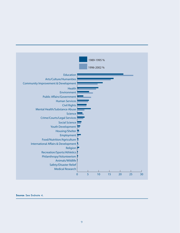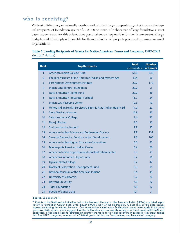#### who is receiving?

Well-established, organizationally capable, and relatively large nonprofit organizations are the typical recipients of foundation grants of \$10,000 or more. The sheer size of large foundations' asset bases is one reason for this orientation: grantmakers are responsible for the disbursement of large budgets, and it is simply not possible for them to fund small projects proposed by numerous small organizations.

#### Table 6. Leading Recipients of Grants for Native American Causes and Concerns, 1989-2002 (in 2002 dollars)

| <b>Rank</b>    | <b>Top Recipients</b>                                           | <b>Total</b><br>(million dollars) | <b>Number</b><br>of Grants |
|----------------|-----------------------------------------------------------------|-----------------------------------|----------------------------|
| $\mathbf{1}$   | American Indian College Fund                                    | 61.8                              | 230                        |
| $\overline{2}$ | Eiteljorg Museum of the American Indian and Western Art         | 40.4                              | 66                         |
| 3              | <b>First Nations Development Institute</b>                      | 29.0                              | 170                        |
| 4              | <b>Indian Land Tenure Foundation</b>                            | 20.2                              | $\overline{2}$             |
| 5              | <b>Native American Rights Fund</b>                              | 20.0                              | 46                         |
| 6              | <b>Native American Preparatory School</b>                       | 15.7                              | 24                         |
| $\overline{7}$ | <b>Indian Law Resource Center</b>                               | 12.3                              | 90                         |
| 8              | United Indian Health Services/California Rural Indian Health Bd | 11.0                              | 20                         |
| 9              | <b>Sinte Gleska University</b>                                  | 10.8                              | 45                         |
| 10             | Salish Kootenai College                                         | 9.4                               | 55                         |
| 11             | <b>Navajo Nation</b>                                            | 8.5                               | 20                         |
| 12             | Smithsonian Institution*                                        | 7.9                               | 27                         |
| 13             | American Indian Science and Engineering Society                 | 7.9                               | 131                        |
| 14             | Seventh Generation Fund for Indian Development                  | 7.8                               | 106                        |
| 15             | American Indian Higher Education Consortium                     | 6.5                               | 22                         |
| 16             | Minneapolis American Indian Center                              | 6.4                               | 88                         |
| 17             | American Indian Opportunities Industrialization Center          | 6.3                               | 91                         |
| 18             | <b>Americans for Indian Opportunity</b>                         | 5.7                               | 16                         |
| 19             | Oglala Lakota College                                           | 5.7                               | 47                         |
| 20             | <b>Blackfeet Reservation Development Fund</b>                   | 5.5                               | 14                         |
| 21             | National Museum of the American Indian*                         | 5.4                               | 45                         |
| 22             | <b>University of California</b>                                 | 5.2                               | 20                         |
| 23             | <b>Harvard University</b>                                       | 4.9                               | 22                         |
| 24             | <b>Tides Foundation</b>                                         | 4.8                               | $12 \overline{ }$          |
| 25             | <b>Pueblo of Santa Clara</b>                                    | 4.7                               | $\overline{3}$             |

<sup>\*</sup> Grants to the Smithsonian Institution and to the National Museum of the American Indian (NMAI) are listed separately in Foundation Center data, even though NMAI is part of the Smithsonian. A close look at the data argues against combining the entries, however. One observation is that many Smithsonian grants were made in the same years as NMAI grants, which suggests that the Smithsonian was not merely acting as a fiscal agent until NMAI was separately established. Second, Smithsonian grants were made for a wider spectrum of purposes, with grants falling into five NTEE categories, whereas all 45 NMAI grants fell into the "arts, culture, and humanities" category.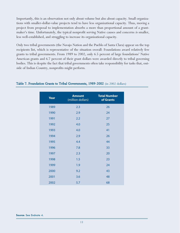Importantly, this is an observation not only about volume but also about capacity. Small organizations with smaller-dollar-value projects tend to have less organizational capacity. Thus, moving a project from proposal to implementation absorbs a more than proportional amount of a grantmaker's time. Unfortunately, the typical nonprofit serving Native causes and concerns is smaller, less well-established, and struggling to increase its organizational capacity.

Only two tribal governments (the Navajo Nation and the Pueblo of Santa Clara) appear on the top recipients list, which is representative of the situation overall: Foundations award relatively few grants to tribal governments. From 1989 to 2002, only 6.5 percent of large foundations' Native American grants and 6.7 percent of their grant dollars were awarded directly to tribal governing bodies. This is despite the fact that tribal governments often take responsibility for tasks that, outside of Indian Country, nonprofits might perform.

| <b>Year</b> | <b>Amount</b><br>(million dollars) | <b>Total Number</b><br>of Grants |
|-------------|------------------------------------|----------------------------------|
| 1989        | 2.3                                | 26                               |
| 1990        | 2.9                                | 24                               |
| 1991        | 2.2                                | 27                               |
| 1992        | 4.0                                | 25                               |
| 1993        | 4.0                                | 41                               |
| 1994        | 2.9                                | 26                               |
| 1995        | 4.4                                | 44                               |
| 1996        | 7.8                                | 33                               |
| 1997        | 2.3                                | 20                               |
| 1998        | 1.5                                | 23                               |
| 1999        | 1.9                                | 24                               |
| 2000        | 9.2                                | 43                               |
| 2001        | 3.6                                | 48                               |
| 2002        | 5.7                                | 68                               |

#### Table 7. Foundation Grants to Tribal Governments, 1989-2002 (in 2002 dollars)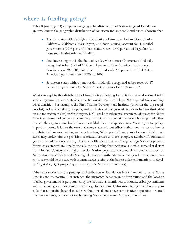#### where is funding going?

Table 8 (see page 13) compares the geographic distribution of Native-targeted foundation grantmaking to the geographic distribution of American Indian people and tribes, showing that:

- The five states with the highest distribution of American Indian tribes (Alaska, California, Oklahoma, Washington, and New Mexico) account for 416 tribal governments (72.9 percent); these states receive 26.0 percent of large foundations total Native-oriented funding.
- One interesting case is the State of Alaska, with almost 40 percent of federally recognized tribes (229 of 582) and 4 percent of the American Indian population (at about 98,000), but which received only 3.5 percent of total Native American grant funds from 1989 to 2002.
- Seventeen states without any resident federally recognized tribes received 17 percent of grant funds for Native American causes for 1989 to 2002.

What can explain this distribution of funds? One clarifying factor is that several national tribal service organizations are strategically located outside states with large Native populations and high tribal densities. For example, the First Nations Development Institute (third on the top recipients list) in Fredericksburg, Virginia, and the National Congress of American Indians (forty-first on the top recipients list) in Washington, D.C., are both substantial recipients of grants for Native American causes and concerns located in jurisdictions that contain no federally recognized tribes. Instead, the organizations likely chose to establish their headquarters near Washington for policyimpact purposes. It is also the case that many states without tribes in their boundaries are homes to substantial non-reservation, and largely urban, Native populations; grants to nonprofits in such states may underwrite the provision of critical services to those groups. A number of foundation grants directed to nonprofit organizations in Illinois that serve Chicago's large Native population fit this characterization. Finally, there is the possibility that institutions located somewhat distant from Indian Country and higher-density Native populations nonetheless remain focused on Native America, either broadly (as might be the case with national and regional museums) or narrowly (as would be the case with intermediaries, acting at the behest of large foundations to develop "right size, right project" grants for specific Native communities).

Other explanations of the geographic distribution of foundation funds intended to serve Native America are less positive. For instance, the mismatch between grant distribution and the location of tribal governments is perpetuated by the fact that, as mentioned previously, tribal governments and tribal colleges receive a minority of large foundations' Native-oriented grants. It is also possible that nonprofits located in states without tribal lands have some Native population-oriented mission elements, but are not really serving Native people and Native communities.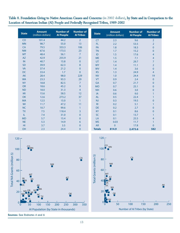Table 8. Foundation Giving to Native American Causes and Concerns (in 2002 dollars), by State and in Comparison to the Location of American Indian (AI) People and Federally Recognized Tribes, 1989-2002

| <b>State</b> | <b>Amount</b><br>(million dollars) | <b>Number of</b><br><b>Al People</b> | <b>Number of</b><br><b>Al Tribes</b> | <b>State</b>   | <b>Amount</b><br>(million dollars) | <b>Number of</b><br><b>Al People</b> | <b>Number of</b><br><b>Al Tribes</b> |
|--------------|------------------------------------|--------------------------------------|--------------------------------------|----------------|------------------------------------|--------------------------------------|--------------------------------------|
| <b>CO</b>    | 101.4                              | 44.2                                 | $\overline{2}$                       | <b>CT</b>      | 2.3                                | 9.6                                  | $\overline{2}$                       |
| <b>MN</b>    | 98.7                               | 55.0                                 | 13                                   | FL.            | 2.2                                | 53.5                                 | $\overline{2}$                       |
| <b>CA</b>    | 79.5                               | 333.3                                | 106                                  | PA             | 1.8                                | 18.3                                 | $\pmb{0}$                            |
| <b>NM</b>    | 67.6                               | 173.5                                | 23                                   | <b>TN</b>      | 1.7                                | 15.2                                 | $\pmb{0}$                            |
| <b>MT</b>    | 48.4                               | 56.1                                 | $\overline{7}$                       | ID             | 1.5                                | 17.6                                 | $\overline{4}$                       |
| <b>AZ</b>    | 42.9                               | 255.9                                | 21                                   | <b>ME</b>      | 1.5                                | 7.1                                  | $\overline{4}$                       |
| IN           | 40.7                               | 15.8                                 | $\mathbf 0$                          | UT             | 1.4                                | 29.7                                 | $\overline{7}$                       |
| <b>SD</b>    | 39.9                               | 62.3                                 | 8                                    | <b>WY</b>      | 1.4                                | 11.1                                 | $\overline{2}$                       |
| <b>VA</b>    | 37.4                               | 21.2                                 | $\mathbf{0}$                         | <b>WV</b>      | 1.4                                | 3.6                                  | $\pmb{0}$                            |
| DC           | 33.4                               | 1.7                                  | $\overline{0}$                       | <b>KS</b>      | 1.3                                | 24.9                                 | $\overline{4}$                       |
| <b>AK</b>    | 28.4                               | 98.0                                 | 229                                  | <b>NV</b>      | 1.0                                | 24.4                                 | 19                                   |
| <b>WA</b>    | 23.3                               | 93.3                                 | 29                                   | <b>VT</b>      | 0.9                                | 2.4                                  | $\pmb{0}$                            |
| <b>NY</b>    | 18.8                               | 82.5                                 | $\overline{7}$                       | <b>GA</b>      | 0.7                                | 21.7                                 | $\mathbf{0}$                         |
| <b>OR</b>    | 18.6                               | 45.2                                 | 9                                    | <b>MO</b>      | 0.7                                | 25.1                                 | $\mathbf 0$                          |
| <b>ND</b>    | 18.0                               | 31.3                                 | $\overline{4}$                       | <b>NH</b>      | 0.6                                | 3.0                                  | $\mathbf{0}$                         |
| MI           | 15.6                               | 58.5                                 | 12                                   | IA             | 0.6                                | 9.0                                  | $\mathbf{1}$                         |
| <b>OK</b>    | 12.6                               | 273.2                                | 37                                   | <b>AL</b>      | 0.5                                | 22.4                                 | $\mathbf{1}$                         |
| <b>MA</b>    | 12.5                               | 15.0                                 | $\mathbf{1}$                         | NJ             | 0.3                                | 19.5                                 | $\mathbf 0$                          |
| WI           | 11.7                               | 47.2                                 | 11                                   | R <sub>l</sub> | 0.2                                | 5.1                                  | 1                                    |
| <b>NC</b>    | 10.7                               | 99.6                                 | $\mathbf{1}$                         | <b>DE</b>      | 0.2                                | 2.7                                  | $\mathbf{0}$                         |
| <b>TX</b>    | 7.5                                | 118.4                                | 3                                    | <b>KY</b>      | 0.1                                | 8.6                                  | $\mathbf{0}$                         |
| IL.          | 7.4                                | 31.0                                 | $\mathbf{0}$                         | <b>SC</b>      | 0.1                                | 13.7                                 | 1                                    |
| <b>MD</b>    | 5.7                                | 15.4                                 | $\pmb{0}$                            | LA             | 0.1                                | 25.5                                 | 4                                    |
| <b>NE</b>    | 5.3                                | 14.9                                 | 6                                    | <b>MS</b>      | 0.03                               | 11.7                                 | 1                                    |
| HI.          | 3.7                                | 3.5                                  | $\mathbf 0$                          | <b>AR</b>      | $\overline{0}$                     | 17.8                                 | $\overline{0}$                       |
| OH           | 2.3                                | 24.4                                 | $\pmb{0}$                            | <b>Totals</b>  | 814.9                              | 2,473.6                              | 582                                  |





**Sources**: See Endnotes 4 and 6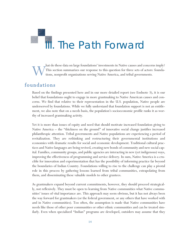# THE Path Forward

hat do these data on large foundations' investments in Native causes and concerns imply?<br>This section summarizes our response to this question for three sets of actors: foundations, nonprofit organizations serving Native A This section summarizes our response to this question for three sets of actors: foundations, nonprofit organizations serving Native America, and tribal governments.

#### foundations

Based on the findings presented here and in our more detailed report (see Endnote 3), it is our belief that foundations ought to engage in more grantmaking to Native American causes and concerns. We find that relative to their representation in the U.S. population, Native people are underserved by foundations. While we fully understand that foundation support is not an entitlement, we also note that on a needs basis, the population's socioeconomic profile ranks it as worthy of increased grantmaking activity.

Yet it is more than issues of equity and need that should motivate increased foundation giving to Native America – the "thickness on the ground" of innovative social change justifies increased philanthropic attention. Tribal governments and Native populations are experiencing a period of revitalization. They are rethinking and restructuring their governmental institutions and economies with dramatic results for social and economic development. Traditional cultural practices and Native languages are being revived, creating new bonds of community and new social capital. Families, community groups, and public agencies are interacting in new (yet indigenous) ways, improving the effectiveness of programming and service delivery. In sum, Native America is a crucible for innovation and experimentation that has the possibility of informing practice far beyond the boundaries of Indian Country. Foundations willing to rise to the challenge can play a pivotal role in this process by gathering lessons learned from tribal communities, extrapolating from them, and disseminating these valuable models to other grantees.

As grantmakers expand beyond current commitments, however, they should proceed strategically, not reflexively. They must be open to learning from Native communities what Native communities' issues of vital importance are. This approach may seem obvious, but it has not always been the way forward for grantmakers (or the federal government, or any others that have worked with and in Native communities). Too often, the assumption is made that Native communities have needs like those of other poor communities or other ethnic communities and can be treated similarly. Even when specialized "Indian" programs are developed, outsiders may assume that they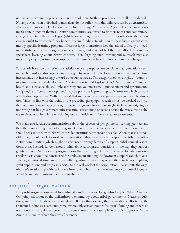understand community problems – and the solutions to these problems – as well as insiders do. Notably, even when individual grantmakers do not suffer from this failing, it can be an institutional tendency. For example, if a foundation funds through "initiatives," "grant clusters," or according to certain "action themes," Native communities are forced to fit their needs and communitychange ideas into those packages (which are nothing more than institutional ideas about how change ought to proceed) if they hope to receive funding. In addition to these biases against community-specific learning, program officers at large foundations face the added difficulty of needing to disburse relatively large amounts of money, and may not feel they can afford the time for specialized learning about Native concerns. Yet, forgoing such learning and outreach may also mean forgoing opportunities to support truly dramatic, self-determined community change.

Particularly based on our review of statistics on grant purposes, we conclude that foundations seeking such transformative opportunities ought to look not only toward educational and cultural investments, but increasingly toward other subject areas. The categories of "civil rights," "community improvement and development," "crime, courts, and legal services," "environment," "mental health and substance abuse," "philanthropy and volunteerism," "public affairs and government," "religion," and "youth development" may be particularly promising topic areas on which to work with Native populations. With the caveat that we mean to provide guidance and not specific direction (since, in line with the point of the preceding paragraph, specifics must be worked out with the community served), promising projects for greater investment might include: redesigning or improving a tribe's government infrastructure, streamlining or reconsidering the way a tribe delivers services, or culturally re-envisioning mental health and substance abuse treatments.

We make two further recommendations about the process of giving, one concerning grantees and the other concerning financial arrangements. First, whatever the specific investment, foundations should seek to work with Native-controlled institutions wherever possible. When that is not possible, they should seek to work with institutions that have the clear support of tribes or other Native communities (which might be evidenced through letters of support, tribal council resolutions, etc.). Second, funders should think about appropriate transitions in the way they support grantees. Solid Native-serving organizations that receive grants from the same foundations on a regular basis should be considered for endowment funding. Endowment support can shift valuable organizational time away from fulfilling administrative responsibilities, such as completing grant applications and progress reports, to the real work of the organization. It also shifts the organization's relationship with its funders from one of hat-in-hand (dependency) to mutual focus on self-determination, mission, and sustainability.

#### nonprofit organizations

Nonprofit organizations need to continually make the case for grantmaking to Native America. On-going education of the philanthropic community about tribal governments, Native populations, and Indian lands is a substantial task. Rather than viewing these educational efforts and the resultant funding as a zero-sum game, where only certain nonprofits "win" funding and others do not, nonprofits should recognize that the trend toward increased philanthropic support of Native America is one in which they are all winners.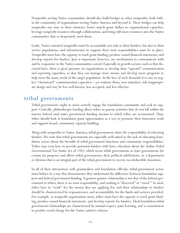Nonprofits serving Native communities should also build bridges to other nonprofits, both within the community of organizations serving Native America and beyond it. These bridges can help nonprofits stay true to their missions, better match grant dollars to organizational capacities, leverage nonprofit resources through collaboration, and bring still more resources into the Native communities that so desperately need them.

Lastly, Native-oriented nonprofits must be accountable not only to their funders, but also to their service populations, and infrastructure to support these twin responsibilities must be in place. Nonprofits must have the capacity to track grant funding, produce sound financial statements, and develop reports for funders. Just as important, however, are mechanisms to communicate with and be responsive to the Native communities served. Especially in growth sectors, such as that discussed here, there is great pressure on organizations to develop their "upward" communication and reporting capacities, so that they can manage more money and develop more programs to help meet the many needs of the target population. In the face of such demands it is easy to neglect "downward" communication capacities – yet without them, new initiatives risk inappropriate design and may be less well-known, less accepted, and less effective.

#### tribal governments

Tribal governments ought to more actively engage the foundation community and seek its support. Critically, philanthropic funding allows tribes to pursue activities that do not fall within the narrow federal (and state) government funding streams to which tribes are accustomed. Thus, tribes should look at foundation grant opportunities as a way to promote their innovative work and support broad, community capacity-building.

Along with nonprofits in Native America, tribal governments share the responsibility of educating funders. We note that tribal governments are especially well-suited to the task of educating foundation actors about the breadth of tribal government functions and community responsibilities. Tribes may even have to provide potential funders with basic education about the Indian Tribal Governmental Tax Status Act of 1982, which treats tribal governments as state governments for certain tax purposes and allows tribal governments, their political subdivisions, or a department or division that is an integral part of the tribal government to receive tax-deductible donations.

In all of their interactions with grantmakers and foundation officials, tribal-government actors must behave in a way that demonstrates they understand the difference between foundation support and federal government funding. A grantor-grantee relationship is not that of the federal government to tribes; there is no trust responsibility, and nothing is "deserved" or "owed." As such, tribes have to "work" for the money they are applying for, and their relationships to funders should be characterized by responsiveness and accountability for the funds and services provided. For example, as nonprofit organizations must, tribes must have the capacity to track grant funding, produce sound financial statements, and develop reports for funders. Ideal foundation-tribal government relationships are characterized by mutual respect, joint learning, and a commitment to positive social change for the Native nation's citizens.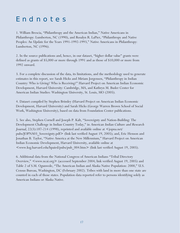## Endnotes

1. William Brescia, "Philanthropy and the American Indian," Native Americans in Philanthropy: Lumberton, NC (1990), and Rosalyn R. LaPier, "Philanthropy and Native Peoples: An Update for the Years 1991-1992-1993," Native Americans in Philanthropy: Lumberton, NC (1996).

2. In the source publications and, hence, in our dataset, "higher dollar value" grants were defined as grants of \$5,000 or more through 1991 and as those of \$10,000 or more from 1992 onward.

3. For a complete discussion of the data, its limitations, and the methodology used to generate estimates in this report, see Sarah Hicks and Miriam Jorgensen, "Philanthropy in Indian Country: Who is Giving? Who is Receiving?" Harvard Project on American Indian Economic Development, Harvard University: Cambridge, MA, and Kathryn M. Buder Center for American Indian Studies: Washington University, St. Louis, MO (2005).

4. Dataset compiled by Stephen Brimley (Harvard Project on American Indian Economic Development, Harvard University) and Sarah Hicks (George Warren Brown School of Social Work, Washington University), based on data from Foundation Center publications.

5. See also, Stephen Cornell and Joseph P. Kalt, "Sovereignty and Nation-Building: The Development Challenge in Indian Country Today," in American Indian Culture and Research Journal, 22(3):187-214 (1998), reprinted and available online at  $\leq$ jopna.net/ pubs/JOPNA03\_Sovereignty.pdf> (link last verified August 19, 2005); and, Eric Henson and Jonathan B. Taylor, "Native America at the New Millennium," Harvard Project on American Indian Economic Development, Harvard University, available online at <www.ksg.harvard.edu/hpaied/pubs/pub\_004.htm> (link last verified August 19, 2005).

6. Additional data from the National Congress of American Indians "Tribal Directory Overview," <www.ncai.org> (accessed September 2004; link verified August 19, 2005) and Table 2 of S.M. Ogunwole, "The American Indian and Alaska Native Population: 2000," U.S. Census Bureau, Washington, DC (February 2002). Tribes with land in more than one state are counted in each of those states. Population data reported refer to persons identifying solely as American Indians or Alaska Native.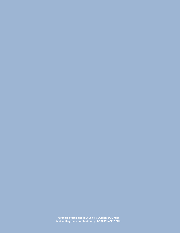**Graphic design and layout by COLLEEN LOOMIS; text editing and coordination by ROBERT MERIDETH.**